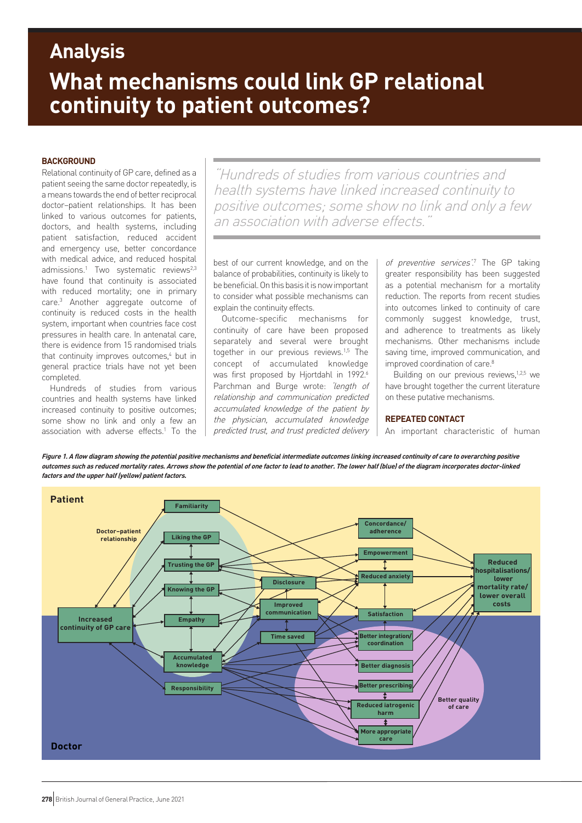# **What mechanisms could link GP relational continuity to patient outcomes? Analysis**

# **BACKGROUND**

Relational continuity of GP care, defined as a patient seeing the same doctor repeatedly, is a means towards the end of better reciprocal doctor–patient relationships. It has been linked to various outcomes for patients, doctors, and health systems, including patient satisfaction, reduced accident and emergency use, better concordance with medical advice, and reduced hospital admissions.<sup>1</sup> Two systematic reviews<sup>2,3</sup> have found that continuity is associated with reduced mortality; one in primary care.3 Another aggregate outcome of continuity is reduced costs in the health system, important when countries face cost pressures in health care. In antenatal care, there is evidence from 15 randomised trials that continuity improves outcomes,<sup>4</sup> but in general practice trials have not yet been completed.

Hundreds of studies from various countries and health systems have linked increased continuity to positive outcomes; some show no link and only a few an association with adverse effects.<sup>1</sup> To the

"Hundreds of studies from various countries and health systems have linked increased continuity to positive outcomes; some show no link and only a few an association with adverse effects

best of our current knowledge, and on the balance of probabilities, continuity is likely to be beneficial. On this basis it is now important to consider what possible mechanisms can explain the continuity effects.

Outcome-specific mechanisms for continuity of care have been proposed separately and several were brought together in our previous reviews.1,5 The concept of accumulated knowledge was first proposed by Hjortdahl in 1992.<sup>6</sup> Parchman and Burge wrote: 'length of relationship and communication predicted accumulated knowledge of the patient by the physician, accumulated knowledge predicted trust, and trust predicted delivery

of preventive services<sup>'7</sup> The GP taking greater responsibility has been suggested as a potential mechanism for a mortality reduction. The reports from recent studies into outcomes linked to continuity of care commonly suggest knowledge, trust, and adherence to treatments as likely mechanisms. Other mechanisms include saving time, improved communication, and improved coordination of care.<sup>8</sup>

Building on our previous reviews,<sup>1,2,5</sup> we have brought together the current literature on these putative mechanisms.

## **REPEATED CONTACT**

An important characteristic of human

**Figure 1. A flow diagram showing the potential positive mechanisms and beneficial intermediate outcomes linking increased continuity of care to overarching positive outcomes such as reduced mortality rates. Arrows show the potential of one factor to lead to another. The lower half (blue) of the diagram incorporates doctor-linked factors and the upper half (yellow) patient factors.** 

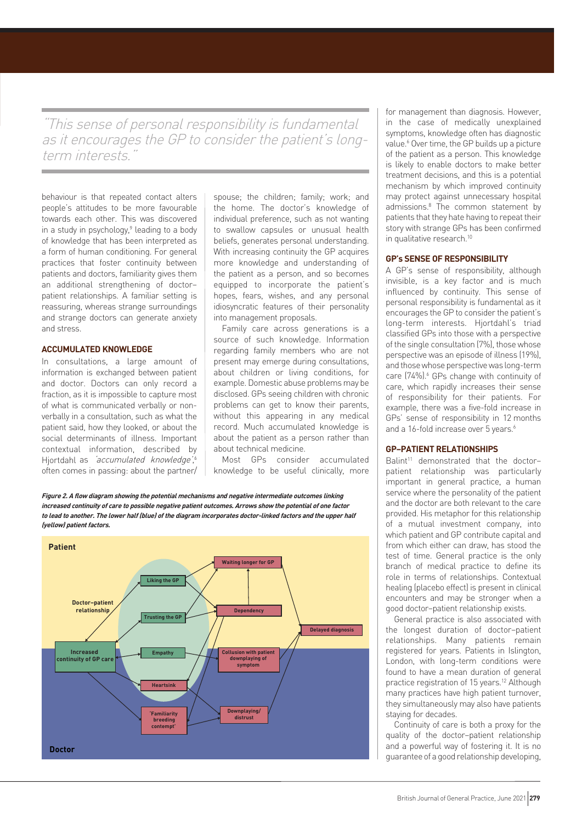"This sense of personal responsibility is fundamental as it encourages the GP to consider the patient's longterm interests.

behaviour is that repeated contact alters people's attitudes to be more favourable towards each other. This was discovered in a study in psychology,<sup>9</sup> leading to a body of knowledge that has been interpreted as a form of human conditioning. For general practices that foster continuity between patients and doctors, familiarity gives them an additional strengthening of doctor– patient relationships. A familiar setting is reassuring, whereas strange surroundings and strange doctors can generate anxiety and stress.

# **ACCUMULATED KNOWLEDGE**

In consultations, a large amount of information is exchanged between patient and doctor. Doctors can only record a fraction, as it is impossible to capture most of what is communicated verbally or nonverbally in a consultation, such as what the patient said, how they looked, or about the social determinants of illness. Important contextual information, described by Hjortdahl as 'accumulated knowledge',<sup>6</sup> often comes in passing: about the partner/ spouse; the children; family; work; and the home. The doctor's knowledge of individual preference, such as not wanting to swallow capsules or unusual health beliefs, generates personal understanding. With increasing continuity the GP acquires more knowledge and understanding of the patient as a person, and so becomes equipped to incorporate the patient's hopes, fears, wishes, and any personal idiosyncratic features of their personality into management proposals.

Family care across generations is a source of such knowledge. Information regarding family members who are not present may emerge during consultations, about children or living conditions, for example. Domestic abuse problems may be disclosed. GPs seeing children with chronic problems can get to know their parents, without this appearing in any medical record. Much accumulated knowledge is about the patient as a person rather than about technical medicine.

Most GPs consider accumulated knowledge to be useful clinically, more

**Figure 2. A flow diagram showing the potential mechanisms and negative intermediate outcomes linking increased continuity of care to possible negative patient outcomes. Arrows show the potential of one factor to lead to another. The lower half (blue) of the diagram incorporates doctor-linked factors and the upper half (yellow) patient factors.** 



for management than diagnosis. However, in the case of medically unexplained symptoms, knowledge often has diagnostic value.<sup>6</sup> Over time, the GP builds up a picture of the patient as a person. This knowledge is likely to enable doctors to make better treatment decisions, and this is a potential mechanism by which improved continuity may protect against unnecessary hospital admissions.<sup>8</sup> The common statement by patients that they hate having to repeat their story with strange GPs has been confirmed in qualitative research.<sup>10</sup>

## **GP's SENSE OF RESPONSIBILITY**

A GP's sense of responsibility, although invisible, is a key factor and is much influenced by continuity. This sense of personal responsibility is fundamental as it encourages the GP to consider the patient's long-term interests. Hjortdahl's triad classified GPs into those with a perspective of the single consultation (7%), those whose perspective was an episode of illness (19%), and those whose perspective was long-term care (74%).<sup>6</sup> GPs change with continuity of care, which rapidly increases their sense of responsibility for their patients. For example, there was a five-fold increase in GPs' sense of responsibility in 12 months and a 16-fold increase over 5 years.<sup>6</sup>

# **GP–PATIENT RELATIONSHIPS**

Balint<sup>11</sup> demonstrated that the doctorpatient relationship was particularly important in general practice, a human service where the personality of the patient and the doctor are both relevant to the care provided. His metaphor for this relationship of a mutual investment company, into which patient and GP contribute capital and from which either can draw, has stood the test of time. General practice is the only branch of medical practice to define its role in terms of relationships. Contextual healing (placebo effect) is present in clinical encounters and may be stronger when a good doctor–patient relationship exists.

General practice is also associated with the longest duration of doctor–patient relationships. Many patients remain registered for years. Patients in Islington, London, with long-term conditions were found to have a mean duration of general practice registration of 15 years.<sup>12</sup> Although many practices have high patient turnover, they simultaneously may also have patients staying for decades.

Continuity of care is both a proxy for the quality of the doctor–patient relationship and a powerful way of fostering it. It is no guarantee of a good relationship developing,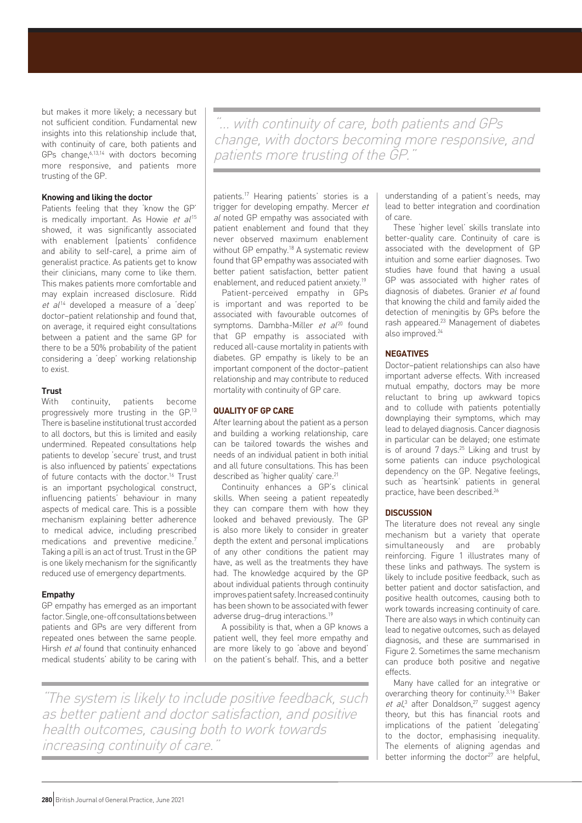but makes it more likely; a necessary but not sufficient condition. Fundamental new insights into this relationship include that, with continuity of care, both patients and GPs change,  $6,13,14$  with doctors becoming more responsive, and patients more trusting of the GP.

# **Knowing and liking the doctor**

Patients feeling that they 'know the GP' is medically important. As Howie et  $al^{15}$ showed, it was significantly associated with enablement (patients' confidence and ability to self-care), a prime aim of generalist practice. As patients get to know their clinicians, many come to like them. This makes patients more comfortable and may explain increased disclosure. Ridd  $et$   $al^{14}$  developed a measure of a 'deep' doctor–patient relationship and found that, on average, it required eight consultations between a patient and the same GP for there to be a 50% probability of the patient considering a 'deep' working relationship to exist.

## **Trust**

With continuity, patients become progressively more trusting in the GP.13 There is baseline institutional trust accorded to all doctors, but this is limited and easily undermined. Repeated consultations help patients to develop 'secure' trust, and trust is also influenced by patients' expectations of future contacts with the doctor.<sup>16</sup> Trust is an important psychological construct, influencing patients' behaviour in many aspects of medical care. This is a possible mechanism explaining better adherence to medical advice, including prescribed medications and preventive medicine.7 Taking a pill is an act of trust. Trust in the GP is one likely mechanism for the significantly reduced use of emergency departments.

## **Empathy**

GP empathy has emerged as an important factor. Single, one-off consultations between patients and GPs are very different from repeated ones between the same people. Hirsh et al found that continuity enhanced medical students' ability to be caring with

"… with continuity of care, both patients and GPs change, with doctors becoming more responsive, and patients more trusting of the GP."

patients.17 Hearing patients' stories is a trigger for developing empathy. Mercer et al noted GP empathy was associated with patient enablement and found that they never observed maximum enablement without GP empathy.<sup>18</sup> A systematic review found that GP empathy was associated with better patient satisfaction, better patient enablement, and reduced patient anxiety.19

Patient-perceived empathy in GPs is important and was reported to be associated with favourable outcomes of symptoms. Dambha-Miller et  $al^{20}$  found that GP empathy is associated with reduced all-cause mortality in patients with diabetes. GP empathy is likely to be an important component of the doctor–patient relationship and may contribute to reduced mortality with continuity of GP care.

## **QUALITY OF GP CARE**

After learning about the patient as a person and building a working relationship, care can be tailored towards the wishes and needs of an individual patient in both initial and all future consultations. This has been described as 'higher quality' care.21

Continuity enhances a GP's clinical skills. When seeing a patient repeatedly they can compare them with how they looked and behaved previously. The GP is also more likely to consider in greater depth the extent and personal implications of any other conditions the patient may have, as well as the treatments they have had. The knowledge acquired by the GP about individual patients through continuity improves patient safety. Increased continuity has been shown to be associated with fewer adverse drug–drug interactions.19

A possibility is that, when a GP knows a patient well, they feel more empathy and are more likely to go 'above and beyond' on the patient's behalf. This, and a better

"The system is likely to include positive feedback, such as better patient and doctor satisfaction, and positive health outcomes, causing both to work towards increasing continuity of care.

understanding of a patient's needs, may lead to better integration and coordination of care.

These 'higher level' skills translate into better-quality care. Continuity of care is associated with the development of GP intuition and some earlier diagnoses. Two studies have found that having a usual GP was associated with higher rates of diagnosis of diabetes. Granier et al found that knowing the child and family aided the detection of meningitis by GPs before the rash appeared.23 Management of diabetes also improved.24

## **NEGATIVES**

Doctor–patient relationships can also have important adverse effects. With increased mutual empathy, doctors may be more reluctant to bring up awkward topics and to collude with patients potentially downplaying their symptoms, which may lead to delayed diagnosis. Cancer diagnosis in particular can be delayed; one estimate is of around 7 days.<sup>25</sup> Liking and trust by some patients can induce psychological dependency on the GP. Negative feelings, such as 'heartsink' patients in general practice, have been described.26

## **DISCUSSION**

The literature does not reveal any single mechanism but a variety that operate simultaneously and are probably reinforcing. Figure 1 illustrates many of these links and pathways. The system is likely to include positive feedback, such as better patient and doctor satisfaction, and positive health outcomes, causing both to work towards increasing continuity of care. There are also ways in which continuity can lead to negative outcomes, such as delayed diagnosis, and these are summarised in Figure 2. Sometimes the same mechanism can produce both positive and negative effects.

Many have called for an integrative or overarching theory for continuity.<sup>3,16</sup> Baker et al,<sup>3</sup> after Donaldson,<sup>27</sup> suggest agency theory, but this has financial roots and implications of the patient 'delegating' to the doctor, emphasising inequality. The elements of aligning agendas and better informing the doctor $27$  are helpful,